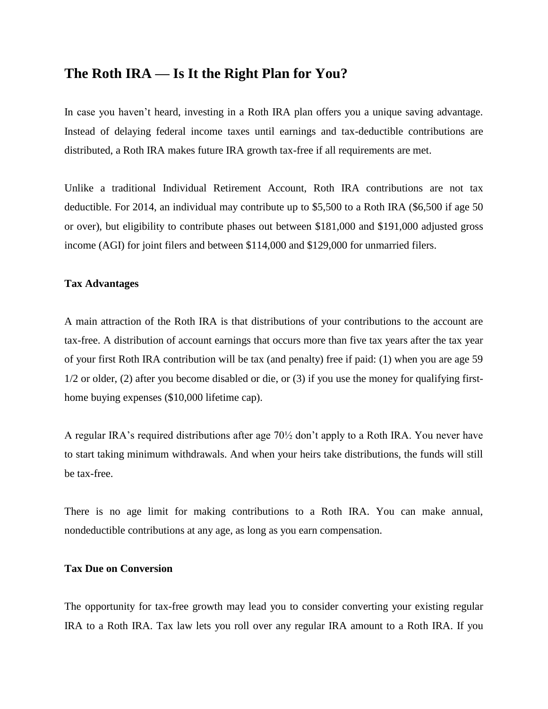## **The Roth IRA — Is It the Right Plan for You?**

In case you haven't heard, investing in a Roth IRA plan offers you a unique saving advantage. Instead of delaying federal income taxes until earnings and tax-deductible contributions are distributed, a Roth IRA makes future IRA growth tax-free if all requirements are met.

Unlike a traditional Individual Retirement Account, Roth IRA contributions are not tax deductible. For 2014, an individual may contribute up to \$5,500 to a Roth IRA (\$6,500 if age 50 or over), but eligibility to contribute phases out between \$181,000 and \$191,000 adjusted gross income (AGI) for joint filers and between \$114,000 and \$129,000 for unmarried filers.

## **Tax Advantages**

A main attraction of the Roth IRA is that distributions of your contributions to the account are tax-free. A distribution of account earnings that occurs more than five tax years after the tax year of your first Roth IRA contribution will be tax (and penalty) free if paid: (1) when you are age 59 1/2 or older, (2) after you become disabled or die, or (3) if you use the money for qualifying firsthome buying expenses (\$10,000 lifetime cap).

A regular IRA's required distributions after age 70½ don't apply to a Roth IRA. You never have to start taking minimum withdrawals. And when your heirs take distributions, the funds will still be tax-free.

There is no age limit for making contributions to a Roth IRA. You can make annual, nondeductible contributions at any age, as long as you earn compensation.

## **Tax Due on Conversion**

The opportunity for tax-free growth may lead you to consider converting your existing regular IRA to a Roth IRA. Tax law lets you roll over any regular IRA amount to a Roth IRA. If you